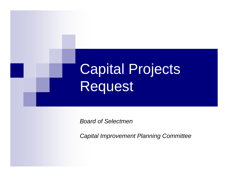

*Board of Selectmen*

*Capital Improvement Planning Committee*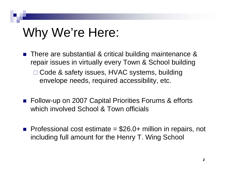## Why We're Here:

- F. There are substantial & critical building maintenance & repair issues in virtually every Town & School building
	- □ Code & safety issues, HVAC systems, building envelope needs, required accessibility, etc.
- Follow-up on 2007 Capital Priorities Forums & efforts which involved School & Town officials
- **Professional cost estimate =**  $$26.0+$  **million in repairs, not** including full amount for the Henry T. Wing School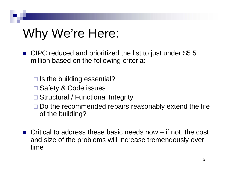## Why We're Here:

- CIPC reduced and prioritized the list to just under \$5.5 million based on the following criteria:
	- $\square$  Is the building essential?
	- □ Safety & Code issues
	- □ Structural / Functional Integrity
	- $\square$  Do the recommended repairs reasonably extend the life of the building?
- **Critical to address these basic needs now**  $-$  if not, the cost and size of the problems will increase tremendously over time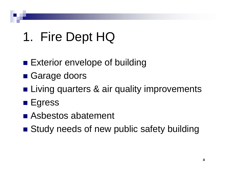## 1. Fire Dept HQ

- **Exterior envelope of building**
- **Garage doors**
- **Example 11 Living quarters & air quality improvements**
- Egress
- Asbestos abatement
- **Study needs of new public safety building**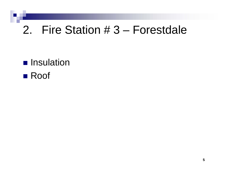### 2. Fire Station # 3 – Forestdale

**<u>■</u>** Insulation

#### ■ Roof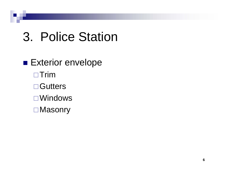## 3. Police Station

**Exterior envelope** □ Trim **□ Gutters** Windows **□Masonry**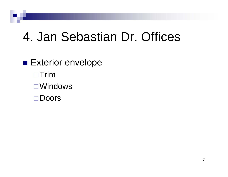## 4. Jan Sebastian Dr. Offices

**Exterior envelope**  $\Box$ Trim Windows□Doors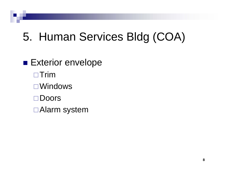### 5. Human Services Bldg (COA)

### **Exterior envelope**

- $\Box$ Trim
- Windows
- Doors
- Alarm system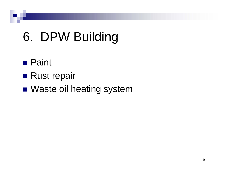# 6. DPW Building

### ■ Paint

- Rust repair
- Waste oil heating system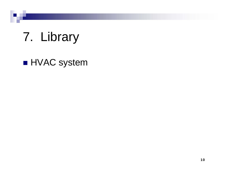# 7. Library

#### **HVAC** system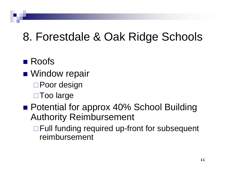### 8. Forestdale & Oak Ridge Schools

### **■ Roofs**

- **Nindow repair** 
	- □ Poor design
	- □ Too large
- Potential for approx 40% School Building Authority Reimbursement
	- □ Full funding required up-front for subsequent reimbursement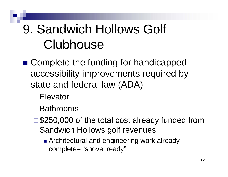# 9. Sandwich Hollows Golf Clubhouse

- Complete the funding for handicapped accessibility improvements required by state and federal law (ADA)
	- **□Elevator**
	- Bathrooms
	- □ \$250,000 of the total cost already funded from Sandwich Hollows golf revenues
		- **Architectural and engineering work already** complete– "shovel ready"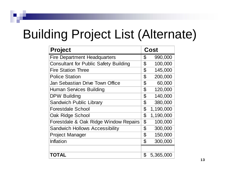## Building Project List (Alternate)

| <b>Project</b>                               | Cost                       |           |
|----------------------------------------------|----------------------------|-----------|
| <b>Fire Department Headquarters</b>          | \$                         | 990,000   |
| <b>Consultant for Public Safety Building</b> | \$                         | 100,000   |
| <b>Fire Station Three</b>                    | \$                         | 145,000   |
| <b>Police Station</b>                        | \$                         | 200,000   |
| Jan Sebastian Drive Town Office              | $\mathfrak{P}$             | 60,000    |
| <b>Human Services Building</b>               | $\mathbf 3$                | 120,000   |
| <b>DPW Building</b>                          | $\mathfrak{P}$             | 140,000   |
| <b>Sandwich Public Library</b>               | \$                         | 380,000   |
| <b>Forestdale School</b>                     | \$                         | 1,190,000 |
| Oak Ridge School                             | $\boldsymbol{\mathcal{S}}$ | 1,190,000 |
| Forestdale & Oak Ridge Window Repairs        | $\mathbf 3$                | 100,000   |
| <b>Sandwich Hollows Accessibility</b>        | \$                         | 300,000   |
| <b>Project Manager</b>                       | \$                         | 150,000   |
| Inflation                                    | \$                         | 300,000   |
|                                              |                            |           |
| TOTAL                                        | \$                         | 5,365,000 |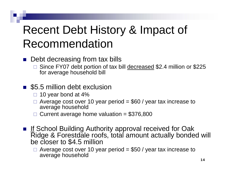### Recent Debt History & Impact of Recommendation

- $\mathbb{R}^2$  Debt decreasing from tax bills
	- $\Box$  Since FY07 debt portion of tax bill decreased \$2.4 million or \$225 for average household bill
- \$5.5 million debt exclusion
	- $\square$  10 year bond at 4%
	- $\Box$  Average cost over 10 year period = \$60 / year tax increase to average household
	- $\Box$ Current average home valuation  $= $376,800$
- **If School Building Authority approval received for Oak** Ridge & Forestdale roofs, total amount actually bonded will be closer to \$4.5 million
	- $\Box$ Average cost over 10 year period  $= $50 /$  year tax increase to average household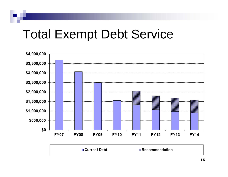### Total Exempt Debt Service